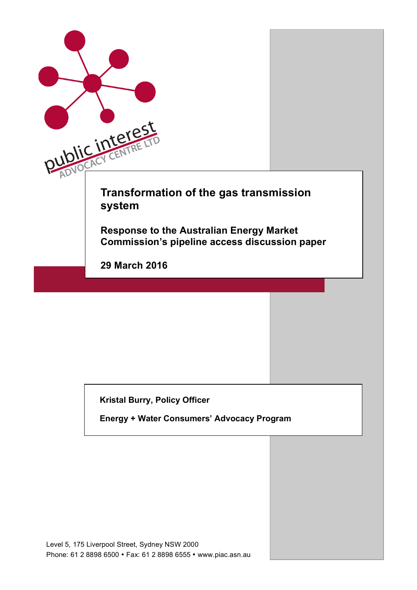

**Kristal Burry, Policy Officer** 

**Energy + Water Consumers' Advocacy Program**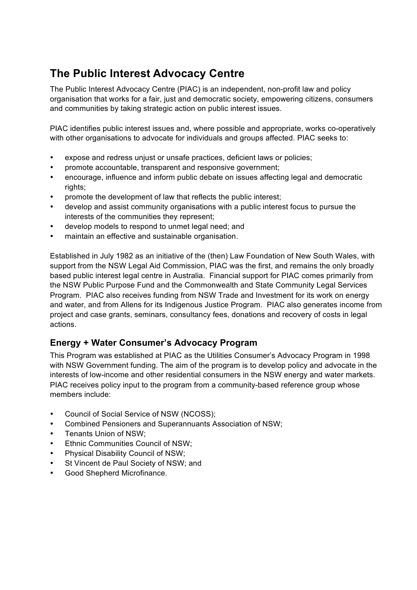# **The Public Interest Advocacy Centre**

The Public Interest Advocacy Centre (PIAC) is an independent, non-profit law and policy organisation that works for a fair, just and democratic society, empowering citizens, consumers and communities by taking strategic action on public interest issues.

PIAC identifies public interest issues and, where possible and appropriate, works co-operatively with other organisations to advocate for individuals and groups affected. PIAC seeks to:

- expose and redress uniust or unsafe practices, deficient laws or policies;
- promote accountable, transparent and responsive government;
- encourage, influence and inform public debate on issues affecting legal and democratic rights:
- promote the development of law that reflects the public interest;
- develop and assist community organisations with a public interest focus to pursue the interests of the communities they represent;
- develop models to respond to unmet legal need; and
- maintain an effective and sustainable organisation.

Established in July 1982 as an initiative of the (then) Law Foundation of New South Wales, with support from the NSW Legal Aid Commission, PIAC was the first, and remains the only broadly based public interest legal centre in Australia. Financial support for PIAC comes primarily from the NSW Public Purpose Fund and the Commonwealth and State Community Legal Services Program. PIAC also receives funding from NSW Trade and Investment for its work on energy and water, and from Allens for its Indigenous Justice Program. PIAC also generates income from project and case grants, seminars, consultancy fees, donations and recovery of costs in legal actions.

### **Energy + Water Consumer's Advocacy Program**

This Program was established at PIAC as the Utilities Consumer's Advocacy Program in 1998 with NSW Government funding. The aim of the program is to develop policy and advocate in the interests of low-income and other residential consumers in the NSW energy and water markets. PIAC receives policy input to the program from a community-based reference group whose members include:

- Council of Social Service of NSW (NCOSS);
- Combined Pensioners and Superannuants Association of NSW;
- Tenants Union of NSW;
- Ethnic Communities Council of NSW:
- Physical Disability Council of NSW;
- St Vincent de Paul Society of NSW; and
- Good Shepherd Microfinance.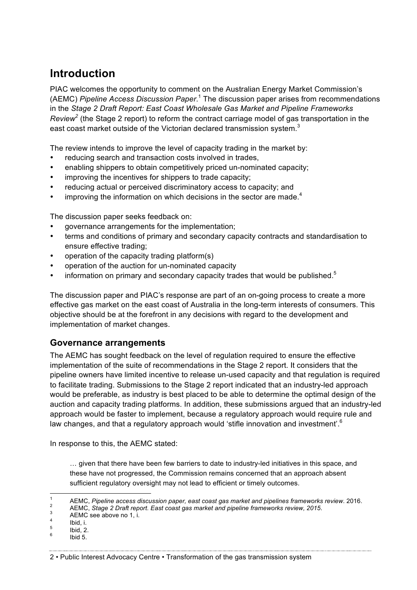# **Introduction**

PIAC welcomes the opportunity to comment on the Australian Energy Market Commission's (AEMC) *Pipeline Access Discussion Paper*. <sup>1</sup> The discussion paper arises from recommendations in the *Stage 2 Draft Report: East Coast Wholesale Gas Market and Pipeline Frameworks Review<sup>2</sup>* (the Stage 2 report) to reform the contract carriage model of gas transportation in the east coast market outside of the Victorian declared transmission system. $3$ 

The review intends to improve the level of capacity trading in the market by:

- reducing search and transaction costs involved in trades.
- enabling shippers to obtain competitively priced un-nominated capacity;
- improving the incentives for shippers to trade capacity;
- reducing actual or perceived discriminatory access to capacity; and
- improving the information on which decisions in the sector are made. $4$

The discussion paper seeks feedback on:

- governance arrangements for the implementation;
- terms and conditions of primary and secondary capacity contracts and standardisation to ensure effective trading;
- operation of the capacity trading platform(s)
- operation of the auction for un-nominated capacity
- information on primary and secondary capacity trades that would be published. $5$

The discussion paper and PIAC's response are part of an on-going process to create a more effective gas market on the east coast of Australia in the long-term interests of consumers. This objective should be at the forefront in any decisions with regard to the development and implementation of market changes.

### **Governance arrangements**

The AEMC has sought feedback on the level of regulation required to ensure the effective implementation of the suite of recommendations in the Stage 2 report. It considers that the pipeline owners have limited incentive to release un-used capacity and that regulation is required to facilitate trading. Submissions to the Stage 2 report indicated that an industry-led approach would be preferable, as industry is best placed to be able to determine the optimal design of the auction and capacity trading platforms. In addition, these submissions argued that an industry-led approach would be faster to implement, because a regulatory approach would require rule and law changes, and that a regulatory approach would 'stifle innovation and investment'.<sup>6</sup>

In response to this, the AEMC stated:

… given that there have been few barriers to date to industry-led initiatives in this space, and these have not progressed, the Commission remains concerned that an approach absent sufficient regulatory oversight may not lead to efficient or timely outcomes.

AEMC, Pipeline access discussion paper, east coast gas market and pipelines frameworks review. 2016.<br>
AEMC, Stage 2 Draft report. East coast gas market and pipeline frameworks review, 2015.<br>
AEMC see above no 1, i.<br>
Ibid,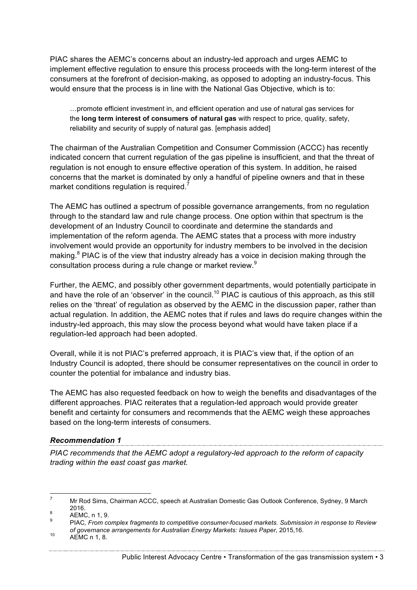PIAC shares the AEMC's concerns about an industry-led approach and urges AEMC to implement effective regulation to ensure this process proceeds with the long-term interest of the consumers at the forefront of decision-making, as opposed to adopting an industry-focus. This would ensure that the process is in line with the National Gas Objective, which is to:

…promote efficient investment in, and efficient operation and use of natural gas services for the **long term interest of consumers of natural gas** with respect to price, quality, safety, reliability and security of supply of natural gas. [emphasis added]

The chairman of the Australian Competition and Consumer Commission (ACCC) has recently indicated concern that current regulation of the gas pipeline is insufficient, and that the threat of regulation is not enough to ensure effective operation of this system. In addition, he raised concerns that the market is dominated by only a handful of pipeline owners and that in these market conditions regulation is required.<sup>7</sup>

The AEMC has outlined a spectrum of possible governance arrangements, from no regulation through to the standard law and rule change process. One option within that spectrum is the development of an Industry Council to coordinate and determine the standards and implementation of the reform agenda. The AEMC states that a process with more industry involvement would provide an opportunity for industry members to be involved in the decision making. $8$  PIAC is of the view that industry already has a voice in decision making through the consultation process during a rule change or market review.<sup>9</sup>

Further, the AEMC, and possibly other government departments, would potentially participate in and have the role of an 'observer' in the council.<sup>10</sup> PIAC is cautious of this approach, as this still relies on the 'threat' of regulation as observed by the AEMC in the discussion paper, rather than actual regulation. In addition, the AEMC notes that if rules and laws do require changes within the industry-led approach, this may slow the process beyond what would have taken place if a regulation-led approach had been adopted.

Overall, while it is not PIAC's preferred approach, it is PIAC's view that, if the option of an Industry Council is adopted, there should be consumer representatives on the council in order to counter the potential for imbalance and industry bias.

The AEMC has also requested feedback on how to weigh the benefits and disadvantages of the different approaches. PIAC reiterates that a regulation-led approach would provide greater benefit and certainty for consumers and recommends that the AEMC weigh these approaches based on the long-term interests of consumers.

#### *Recommendation 1*

*PIAC recommends that the AEMC adopt a regulatory-led approach to the reform of capacity trading within the east coast gas market.* 

<sup>&</sup>lt;sup>7</sup> Mr Rod Sims, Chairman ACCC, speech at Australian Domestic Gas Outlook Conference, Sydney, 9 March 2016.<br><sup>8</sup> AEMC, n 1, 9.<br>PIAC*. From complex fragments to competitive consumer-focused markets. Submission in response to Review* 

*of governance arrangements for Australian Energy Markets: Issues Paper*, 2015,16.<br>AEMC n 1, 8.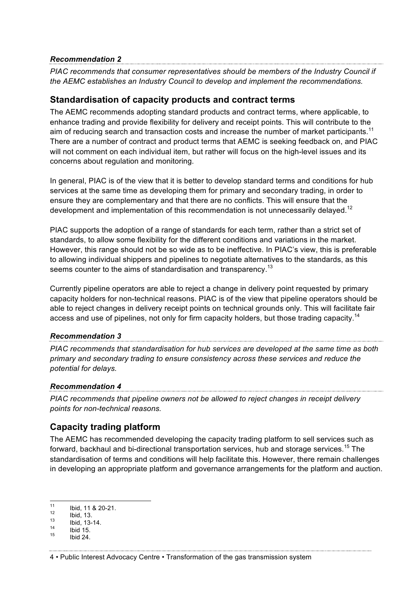#### *Recommendation 2*

*PIAC recommends that consumer representatives should be members of the Industry Council if the AEMC establishes an Industry Council to develop and implement the recommendations.* 

### **Standardisation of capacity products and contract terms**

The AEMC recommends adopting standard products and contract terms, where applicable, to enhance trading and provide flexibility for delivery and receipt points. This will contribute to the aim of reducing search and transaction costs and increase the number of market participants.<sup>11</sup> There are a number of contract and product terms that AEMC is seeking feedback on, and PIAC will not comment on each individual item, but rather will focus on the high-level issues and its concerns about regulation and monitoring.

In general, PIAC is of the view that it is better to develop standard terms and conditions for hub services at the same time as developing them for primary and secondary trading, in order to ensure they are complementary and that there are no conflicts. This will ensure that the development and implementation of this recommendation is not unnecessarily delayed.<sup>12</sup>

PIAC supports the adoption of a range of standards for each term, rather than a strict set of standards, to allow some flexibility for the different conditions and variations in the market. However, this range should not be so wide as to be ineffective. In PIAC's view, this is preferable to allowing individual shippers and pipelines to negotiate alternatives to the standards, as this seems counter to the aims of standardisation and transparency.<sup>13</sup>

Currently pipeline operators are able to reject a change in delivery point requested by primary capacity holders for non-technical reasons. PIAC is of the view that pipeline operators should be able to reject changes in delivery receipt points on technical grounds only. This will facilitate fair access and use of pipelines, not only for firm capacity holders, but those trading capacity.<sup>14</sup>

## *Recommendation 3*

*PIAC recommends that standardisation for hub services are developed at the same time as both primary and secondary trading to ensure consistency across these services and reduce the potential for delays.* 

#### *Recommendation 4*

*PIAC recommends that pipeline owners not be allowed to reject changes in receipt delivery points for non-technical reasons.* 

## **Capacity trading platform**

The AEMC has recommended developing the capacity trading platform to sell services such as forward, backhaul and bi-directional transportation services, hub and storage services.<sup>15</sup> The standardisation of terms and conditions will help facilitate this. However, there remain challenges in developing an appropriate platform and governance arrangements for the platform and auction.

<sup>11</sup> Ibid, 11 & 20-21.<br>
12 Ibid, 13.<br>
13 Ibid, 13-14.<br>
14 Ibid 15.<br>
15 Ibid 24.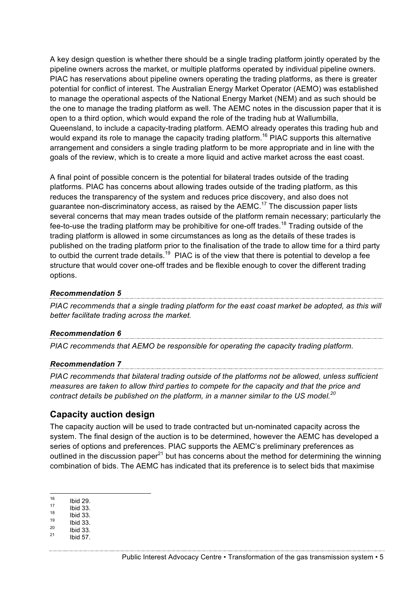A key design question is whether there should be a single trading platform jointly operated by the pipeline owners across the market, or multiple platforms operated by individual pipeline owners. PIAC has reservations about pipeline owners operating the trading platforms, as there is greater potential for conflict of interest. The Australian Energy Market Operator (AEMO) was established to manage the operational aspects of the National Energy Market (NEM) and as such should be the one to manage the trading platform as well. The AEMC notes in the discussion paper that it is open to a third option, which would expand the role of the trading hub at Wallumbilla, Queensland, to include a capacity-trading platform. AEMO already operates this trading hub and would expand its role to manage the capacity trading platform.<sup>16</sup> PIAC supports this alternative arrangement and considers a single trading platform to be more appropriate and in line with the goals of the review, which is to create a more liquid and active market across the east coast.

A final point of possible concern is the potential for bilateral trades outside of the trading platforms. PIAC has concerns about allowing trades outside of the trading platform, as this reduces the transparency of the system and reduces price discovery, and also does not guarantee non-discriminatory access, as raised by the  $AEMC<sup>17</sup>$ . The discussion paper lists several concerns that may mean trades outside of the platform remain necessary; particularly the fee-to-use the trading platform may be prohibitive for one-off trades.<sup>18</sup> Trading outside of the trading platform is allowed in some circumstances as long as the details of these trades is published on the trading platform prior to the finalisation of the trade to allow time for a third party to outbid the current trade details.<sup>19</sup> PIAC is of the view that there is potential to develop a fee structure that would cover one-off trades and be flexible enough to cover the different trading options.

#### *Recommendation 5*

*PIAC recommends that a single trading platform for the east coast market be adopted, as this will better facilitate trading across the market.* 

#### *Recommendation 6*

*PIAC recommends that AEMO be responsible for operating the capacity trading platform.*

#### *Recommendation 7*

*PIAC recommends that bilateral trading outside of the platforms not be allowed, unless sufficient measures are taken to allow third parties to compete for the capacity and that the price and contract details be published on the platform, in a manner similar to the US model.20*

### **Capacity auction design**

The capacity auction will be used to trade contracted but un-nominated capacity across the system. The final design of the auction is to be determined, however the AEMC has developed a series of options and preferences. PIAC supports the AEMC's preliminary preferences as outlined in the discussion paper<sup>21</sup> but has concerns about the method for determining the winning combination of bids. The AEMC has indicated that its preference is to select bids that maximise

<sup>16</sup> Ibid 29.<br>
17 Ibid 33.<br>
18 Ibid 33.<br>
19 Ibid 33.<br>
20 Ibid 57.